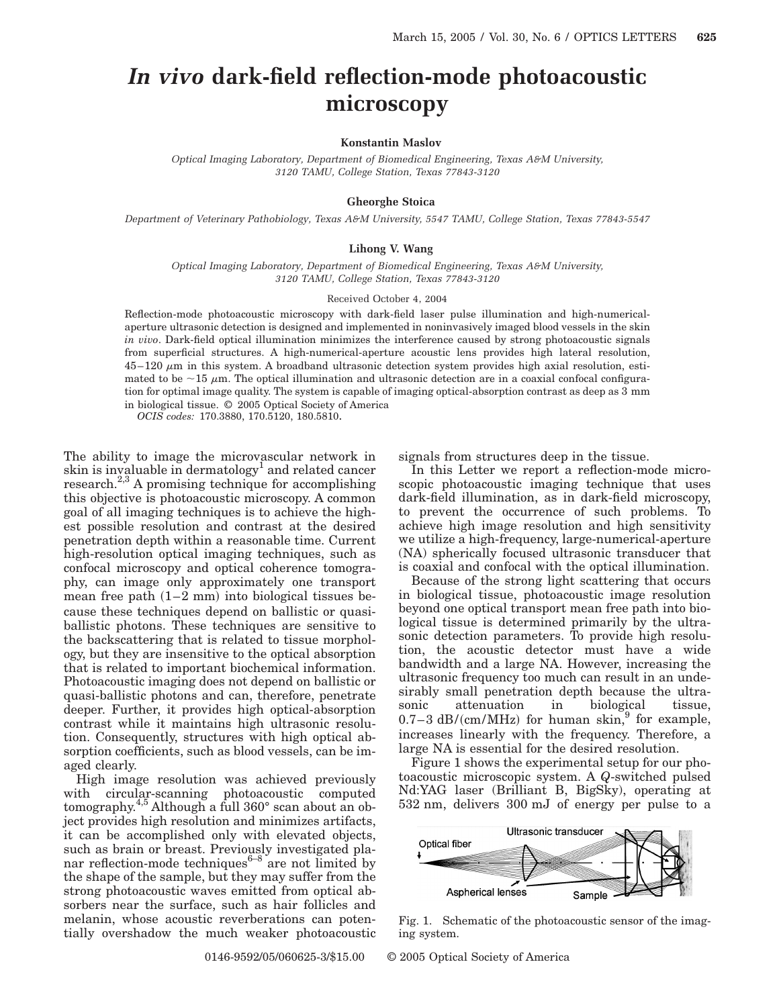# *In vivo* **dark-field reflection-mode photoacoustic microscopy**

### **Konstantin Maslov**

*Optical Imaging Laboratory, Department of Biomedical Engineering, Texas A&M University, 3120 TAMU, College Station, Texas 77843-3120*

## **Gheorghe Stoica**

*Department of Veterinary Pathobiology, Texas A&M University, 5547 TAMU, College Station, Texas 77843-5547*

### **Lihong V. Wang**

*Optical Imaging Laboratory, Department of Biomedical Engineering, Texas A&M University, 3120 TAMU, College Station, Texas 77843-3120*

#### Received October 4, 2004

Reflection-mode photoacoustic microscopy with dark-field laser pulse illumination and high-numericalaperture ultrasonic detection is designed and implemented in noninvasively imaged blood vessels in the skin *in vivo*. Dark-field optical illumination minimizes the interference caused by strong photoacoustic signals from superficial structures. A high-numerical-aperture acoustic lens provides high lateral resolution,  $45-120 \mu m$  in this system. A broadband ultrasonic detection system provides high axial resolution, estimated to be  $\sim$ 15  $\mu$ m. The optical illumination and ultrasonic detection are in a coaxial confocal configuration for optimal image quality. The system is capable of imaging optical-absorption contrast as deep as 3 mm in biological tissue. © 2005 Optical Society of America

*OCIS codes:* 170.3880, 170.5120, 180.5810.

The ability to image the microvascular network in skin is invaluable in dermatology<sup>1</sup> and related cancer research. $^{2,3}$  A promising technique for accomplishing this objective is photoacoustic microscopy. A common goal of all imaging techniques is to achieve the highest possible resolution and contrast at the desired penetration depth within a reasonable time. Current high-resolution optical imaging techniques, such as confocal microscopy and optical coherence tomography, can image only approximately one transport mean free path  $(1–2 \text{ mm})$  into biological tissues because these techniques depend on ballistic or quasiballistic photons. These techniques are sensitive to the backscattering that is related to tissue morphology, but they are insensitive to the optical absorption that is related to important biochemical information. Photoacoustic imaging does not depend on ballistic or quasi-ballistic photons and can, therefore, penetrate deeper. Further, it provides high optical-absorption contrast while it maintains high ultrasonic resolution. Consequently, structures with high optical absorption coefficients, such as blood vessels, can be imaged clearly.

High image resolution was achieved previously with circular-scanning photoacoustic computed tomography.4,5 Although a full 360° scan about an object provides high resolution and minimizes artifacts, it can be accomplished only with elevated objects, such as brain or breast. Previously investigated planar reflection-mode techniques $6-8$  are not limited by the shape of the sample, but they may suffer from the strong photoacoustic waves emitted from optical absorbers near the surface, such as hair follicles and melanin, whose acoustic reverberations can potentially overshadow the much weaker photoacoustic signals from structures deep in the tissue.

In this Letter we report a reflection-mode microscopic photoacoustic imaging technique that uses dark-field illumination, as in dark-field microscopy, to prevent the occurrence of such problems. To achieve high image resolution and high sensitivity we utilize a high-frequency, large-numerical-aperture (NA) spherically focused ultrasonic transducer that is coaxial and confocal with the optical illumination.

Because of the strong light scattering that occurs in biological tissue, photoacoustic image resolution beyond one optical transport mean free path into biological tissue is determined primarily by the ultrasonic detection parameters. To provide high resolution, the acoustic detector must have a wide bandwidth and a large NA. However, increasing the ultrasonic frequency too much can result in an undesirably small penetration depth because the ultrasonic attenuation in biological tissue,  $0.7-3$  dB/(cm/MHz) for human skin,<sup>9</sup> for example, increases linearly with the frequency. Therefore, a large NA is essential for the desired resolution.

Figure 1 shows the experimental setup for our photoacoustic microscopic system. A *Q*-switched pulsed Nd:YAG laser (Brilliant B, BigSky), operating at 532 nm, delivers 300 mJ of energy per pulse to a



Fig. 1. Schematic of the photoacoustic sensor of the imaging system.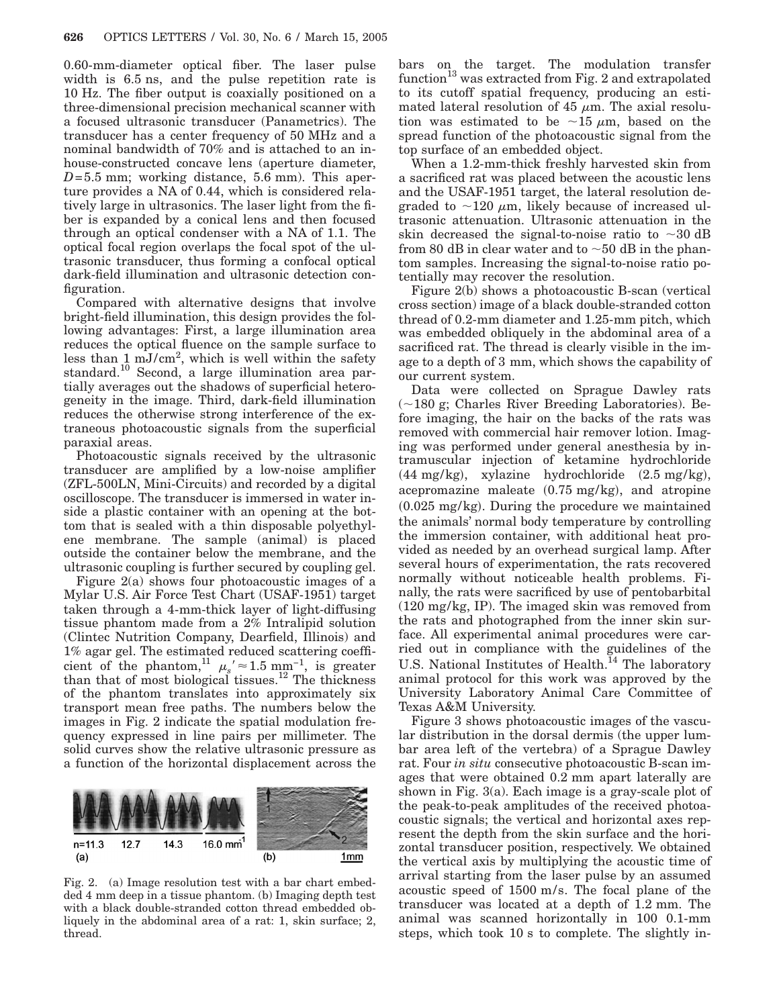0.60-mm-diameter optical fiber. The laser pulse width is 6.5 ns, and the pulse repetition rate is 10 Hz. The fiber output is coaxially positioned on a three-dimensional precision mechanical scanner with a focused ultrasonic transducer (Panametrics). The transducer has a center frequency of 50 MHz and a nominal bandwidth of 70% and is attached to an inhouse-constructed concave lens (aperture diameter,  $D=5.5$  mm; working distance, 5.6 mm). This aperture provides a NA of 0.44, which is considered relatively large in ultrasonics. The laser light from the fiber is expanded by a conical lens and then focused through an optical condenser with a NA of 1.1. The optical focal region overlaps the focal spot of the ultrasonic transducer, thus forming a confocal optical dark-field illumination and ultrasonic detection configuration.

Compared with alternative designs that involve bright-field illumination, this design provides the following advantages: First, a large illumination area reduces the optical fluence on the sample surface to less than 1 mJ/cm<sup>2</sup>, which is well within the safety standard.10 Second, a large illumination area partially averages out the shadows of superficial heterogeneity in the image. Third, dark-field illumination reduces the otherwise strong interference of the extraneous photoacoustic signals from the superficial paraxial areas.

Photoacoustic signals received by the ultrasonic transducer are amplified by a low-noise amplifier (ZFL-500LN, Mini-Circuits) and recorded by a digital oscilloscope. The transducer is immersed in water inside a plastic container with an opening at the bottom that is sealed with a thin disposable polyethylene membrane. The sample (animal) is placed outside the container below the membrane, and the ultrasonic coupling is further secured by coupling gel.

Figure 2(a) shows four photoacoustic images of a Mylar U.S. Air Force Test Chart (USAF-1951) target taken through a 4-mm-thick layer of light-diffusing tissue phantom made from a 2% Intralipid solution (Clintec Nutrition Company, Dearfield, Illinois) and 1% agar gel. The estimated reduced scattering coefficient of the phantom,<sup>11</sup>  $\mu_s$ ' ≈ 1.5 mm<sup>-1</sup>, is greater than that of most biological tissues.<sup>12</sup> The thickness of the phantom translates into approximately six transport mean free paths. The numbers below the images in Fig. 2 indicate the spatial modulation frequency expressed in line pairs per millimeter. The solid curves show the relative ultrasonic pressure as a function of the horizontal displacement across the



Fig. 2. (a) Image resolution test with a bar chart embedded 4 mm deep in a tissue phantom. (b) Imaging depth test with a black double-stranded cotton thread embedded obliquely in the abdominal area of a rat: 1, skin surface; 2, thread.

bars on the target. The modulation transfer  $function<sup>13</sup>$  was extracted from Fig. 2 and extrapolated to its cutoff spatial frequency, producing an estimated lateral resolution of 45  $\mu$ m. The axial resolution was estimated to be  $\sim$ 15  $\mu$ m, based on the spread function of the photoacoustic signal from the top surface of an embedded object.

When a 1.2-mm-thick freshly harvested skin from a sacrificed rat was placed between the acoustic lens and the USAF-1951 target, the lateral resolution degraded to  $\sim$ 120  $\mu$ m, likely because of increased ultrasonic attenuation. Ultrasonic attenuation in the skin decreased the signal-to-noise ratio to  $\sim 30$  dB from 80 dB in clear water and to  $\sim$  50 dB in the phantom samples. Increasing the signal-to-noise ratio potentially may recover the resolution.

Figure 2(b) shows a photoacoustic B-scan (vertical cross section) image of a black double-stranded cotton thread of 0.2-mm diameter and 1.25-mm pitch, which was embedded obliquely in the abdominal area of a sacrificed rat. The thread is clearly visible in the image to a depth of 3 mm, which shows the capability of our current system.

Data were collected on Sprague Dawley rats  $(-180 \text{ g};$  Charles River Breeding Laboratories). Before imaging, the hair on the backs of the rats was removed with commercial hair remover lotion. Imaging was performed under general anesthesia by intramuscular injection of ketamine hydrochloride  $(44 \text{ mg/kg})$ , xylazine hydrochloride  $(2.5 \text{ mg/kg})$ , acepromazine maleate  $(0.75 \text{ mg/kg})$ , and atropine  $(0.025 \text{ mg/kg})$ . During the procedure we maintained the animals' normal body temperature by controlling the immersion container, with additional heat provided as needed by an overhead surgical lamp. After several hours of experimentation, the rats recovered normally without noticeable health problems. Finally, the rats were sacrificed by use of pentobarbital (120 mg/kg, IP). The imaged skin was removed from the rats and photographed from the inner skin surface. All experimental animal procedures were carried out in compliance with the guidelines of the U.S. National Institutes of Health.<sup>14</sup> The laboratory animal protocol for this work was approved by the University Laboratory Animal Care Committee of Texas A&M University.

Figure 3 shows photoacoustic images of the vascular distribution in the dorsal dermis (the upper lumbar area left of the vertebra) of a Sprague Dawley rat. Four *in situ* consecutive photoacoustic B-scan images that were obtained 0.2 mm apart laterally are shown in Fig. 3(a). Each image is a gray-scale plot of the peak-to-peak amplitudes of the received photoacoustic signals; the vertical and horizontal axes represent the depth from the skin surface and the horizontal transducer position, respectively. We obtained the vertical axis by multiplying the acoustic time of arrival starting from the laser pulse by an assumed acoustic speed of 1500 m/s. The focal plane of the transducer was located at a depth of 1.2 mm. The animal was scanned horizontally in 100 0.1-mm steps, which took 10 s to complete. The slightly in-